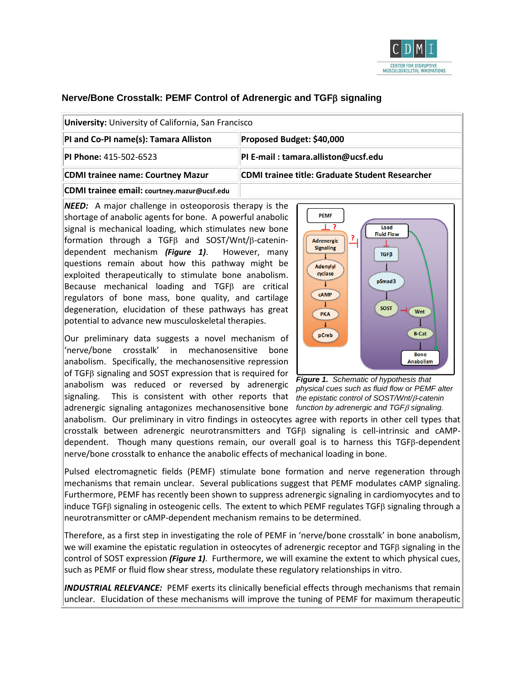

# **Nerve/Bone Crosstalk: PEMF Control of Adrenergic and TGF**β **signaling**

| University: University of California, San Francisco |                                                        |  |
|-----------------------------------------------------|--------------------------------------------------------|--|
| PI and Co-PI name(s): Tamara Alliston               | Proposed Budget: \$40,000                              |  |
| <b>PI Phone: 415-502-6523</b>                       | PI E-mail: tamara.alliston@ucsf.edu                    |  |
| <b>CDMI trainee name: Courtney Mazur</b>            | <b>CDMI trainee title: Graduate Student Researcher</b> |  |
| CDMI trainee email: courtney.mazur@ucsf.edu         |                                                        |  |

*NEED:* A major challenge in osteoporosis therapy is the shortage of anabolic agents for bone. A powerful anabolic signal is mechanical loading, which stimulates new bone formation through a TGFβ and SOST/Wnt/β-catenindependent mechanism *(Figure 1)*. However, many questions remain about how this pathway might be exploited therapeutically to stimulate bone anabolism. Because mechanical loading and TGFβ are critical regulators of bone mass, bone quality, and cartilage degeneration, elucidation of these pathways has great potential to advance new musculoskeletal therapies.

Our preliminary data suggests a novel mechanism of 'nerve/bone crosstalk' in mechanosensitive bone anabolism. Specifically, the mechanosensitive repression of TGFβ signaling and SOST expression that is required for anabolism was reduced or reversed by adrenergic signaling. This is consistent with other reports that *the epistatic control of SOST/Wnt/*β*-catenin*  adrenergic signaling antagonizes mechanosensitive bone *function by adrenergic and TGF*β *signaling.* 



*Figure 1. Schematic of hypothesis that physical cues such as fluid flow or PEMF alter* 

anabolism. Our preliminary in vitro findings in osteocytes agree with reports in other cell types that crosstalk between adrenergic neurotransmitters and TGFβ signaling is cell-intrinsic and cAMPdependent. Though many questions remain, our overall goal is to harness this TGFβ-dependent nerve/bone crosstalk to enhance the anabolic effects of mechanical loading in bone.

Pulsed electromagnetic fields (PEMF) stimulate bone formation and nerve regeneration through mechanisms that remain unclear. Several publications suggest that PEMF modulates cAMP signaling. Furthermore, PEMF has recently been shown to suppress adrenergic signaling in cardiomyocytes and to induce TGFβ signaling in osteogenic cells. The extent to which PEMF regulates TGFβ signaling through a neurotransmitter or cAMP-dependent mechanism remains to be determined.

Therefore, as a first step in investigating the role of PEMF in 'nerve/bone crosstalk' in bone anabolism, we will examine the epistatic regulation in osteocytes of adrenergic receptor and TGFβ signaling in the control of SOST expression *(Figure 1)*. Furthermore, we will examine the extent to which physical cues, such as PEMF or fluid flow shear stress, modulate these regulatory relationships in vitro.

*INDUSTRIAL RELEVANCE:* PEMF exerts its clinically beneficial effects through mechanisms that remain unclear. Elucidation of these mechanisms will improve the tuning of PEMF for maximum therapeutic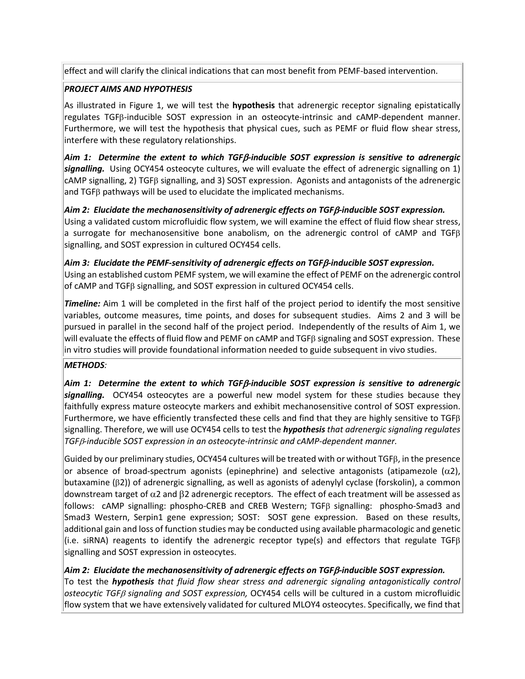effect and will clarify the clinical indications that can most benefit from PEMF-based intervention.

### *PROJECT AIMS AND HYPOTHESIS*

As illustrated in Figure 1, we will test the **hypothesis** that adrenergic receptor signaling epistatically regulates TGFβ-inducible SOST expression in an osteocyte-intrinsic and cAMP-dependent manner. Furthermore, we will test the hypothesis that physical cues, such as PEMF or fluid flow shear stress, interfere with these regulatory relationships.

*Aim 1: Determine the extent to which TGF*β*-inducible SOST expression is sensitive to adrenergic signalling.* Using OCY454 osteocyte cultures, we will evaluate the effect of adrenergic signalling on 1) cAMP signalling, 2) TGFβ signalling, and 3) SOST expression. Agonists and antagonists of the adrenergic and TGFβ pathways will be used to elucidate the implicated mechanisms.

*Aim 2: Elucidate the mechanosensitivity of adrenergic effects on TGF*β*-inducible SOST expression.*  Using a validated custom microfluidic flow system, we will examine the effect of fluid flow shear stress, a surrogate for mechanosensitive bone anabolism, on the adrenergic control of cAMP and TGFβ signalling, and SOST expression in cultured OCY454 cells.

# *Aim 3: Elucidate the PEMF-sensitivity of adrenergic effects on TGF*β*-inducible SOST expression.*

Using an established custom PEMF system, we will examine the effect of PEMF on the adrenergic control of cAMP and TGFβ signalling, and SOST expression in cultured OCY454 cells.

*Timeline:* Aim 1 will be completed in the first half of the project period to identify the most sensitive variables, outcome measures, time points, and doses for subsequent studies. Aims 2 and 3 will be pursued in parallel in the second half of the project period. Independently of the results of Aim 1, we will evaluate the effects of fluid flow and PEMF on cAMP and TGFβ signaling and SOST expression. These in vitro studies will provide foundational information needed to guide subsequent in vivo studies.

#### *METHODS:*

*Aim 1: Determine the extent to which TGF*β*-inducible SOST expression is sensitive to adrenergic signalling.* OCY454 osteocytes are a powerful new model system for these studies because they faithfully express mature osteocyte markers and exhibit mechanosensitive control of SOST expression. Furthermore, we have efficiently transfected these cells and find that they are highly sensitive to TGFβ signalling. Therefore, we will use OCY454 cells to test the *hypothesis that adrenergic signaling regulates TGF*β*-inducible SOST expression in an osteocyte-intrinsic and cAMP-dependent manner.* 

Guided by our preliminary studies, OCY454 cultures will be treated with or without TGFβ, in the presence or absence of broad-spectrum agonists (epinephrine) and selective antagonists (atipamezole  $(\alpha 2)$ , butaxamine (β2)) of adrenergic signalling, as well as agonists of adenylyl cyclase (forskolin), a common downstream target of  $\alpha$ 2 and  $\beta$ 2 adrenergic receptors. The effect of each treatment will be assessed as follows: cAMP signalling: phospho-CREB and CREB Western; TGFβ signalling: phospho-Smad3 and Smad3 Western, Serpin1 gene expression; SOST: SOST gene expression. Based on these results, additional gain and loss of function studies may be conducted using available pharmacologic and genetic (i.e. siRNA) reagents to identify the adrenergic receptor type(s) and effectors that regulate TGFβ signalling and SOST expression in osteocytes.

## *Aim 2: Elucidate the mechanosensitivity of adrenergic effects on TGF*β*-inducible SOST expression.*

To test the *hypothesis that fluid flow shear stress and adrenergic signaling antagonistically control osteocytic TGF*β *signaling and SOST expression,* OCY454 cells will be cultured in a custom microfluidic flow system that we have extensively validated for cultured MLOY4 osteocytes. Specifically, we find that